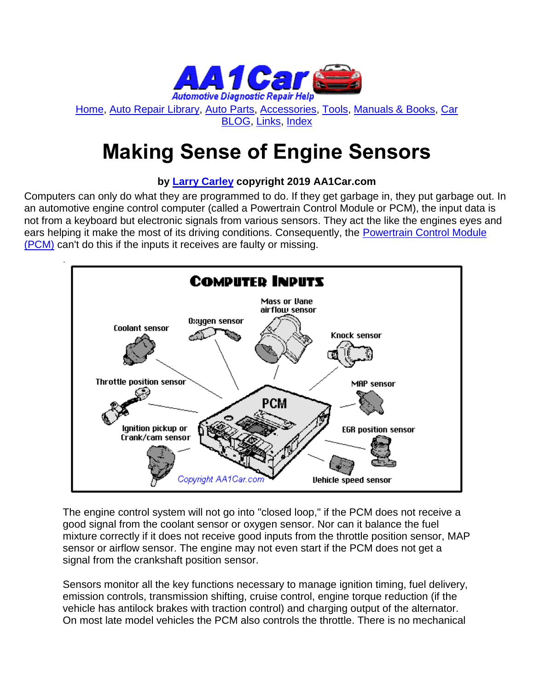

[Home,](http://www.aa1car.com/index.html) [Auto Repair Library,](http://www.aa1car.com/library.htm) [Auto Parts,](http://www.aa1car.com/links_parts.htm) [Accessories,](http://www.aa1car.com/links_accessories.htm) [Tools,](http://www.aa1car.com/links_tools.htm) [Manuals & Books,](http://www.aa1car.com/links_books.htm) [Car](http://www.aa1car.com/blog/blog.htm)  [BLOG,](http://www.aa1car.com/blog/blog.htm) [Links,](http://www.aa1car.com/links.htm) [Index](http://www.aa1car.com/index_alphabetical.htm)

# **Making Sense of Engine Sensors**

#### **by [Larry Carley](https://www.aa1car.com/larrypage/larrycarley_photos.htm) copyright 2019 AA1Car.com**

Computers can only do what they are programmed to do. If they get garbage in, they put garbage out. In an automotive engine control computer (called a Powertrain Control Module or PCM), the input data is not from a keyboard but electronic signals from various sensors. They act the like the engines eyes and ears helping it make the most of its driving conditions. Consequently, the [Powertrain Control Module](http://www.aa1car.com/library/pcm.htm)  [\(PCM\)](http://www.aa1car.com/library/pcm.htm) can't do this if the inputs it receives are faulty or missing.



The engine control system will not go into "closed loop," if the PCM does not receive a good signal from the coolant sensor or oxygen sensor. Nor can it balance the fuel mixture correctly if it does not receive good inputs from the throttle position sensor, MAP sensor or airflow sensor. The engine may not even start if the PCM does not get a signal from the crankshaft position sensor.

Sensors monitor all the key functions necessary to manage ignition timing, fuel delivery, emission controls, transmission shifting, cruise control, engine torque reduction (if the vehicle has antilock brakes with traction control) and charging output of the alternator. On most late model vehicles the PCM also controls the throttle. There is no mechanical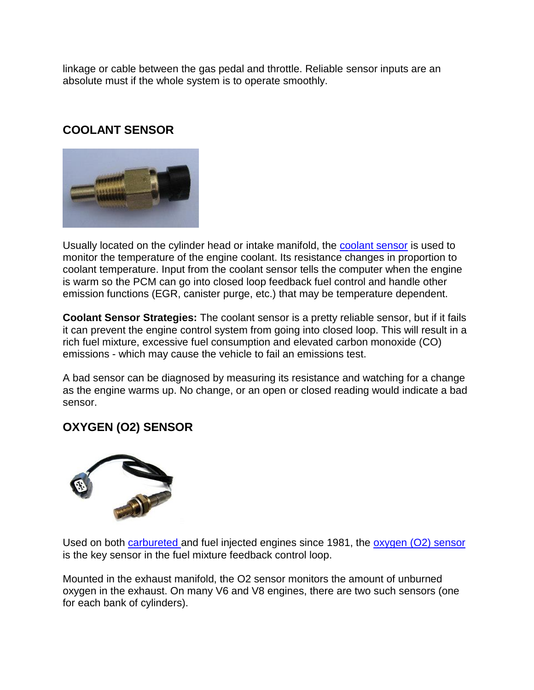linkage or cable between the gas pedal and throttle. Reliable sensor inputs are an absolute must if the whole system is to operate smoothly.

#### **COOLANT SENSOR**



Usually located on the cylinder head or intake manifold, the [coolant sensor](http://www.aa1car.com/library/coolant_sensors.htm) is used to monitor the temperature of the engine coolant. Its resistance changes in proportion to coolant temperature. Input from the coolant sensor tells the computer when the engine is warm so the PCM can go into closed loop feedback fuel control and handle other emission functions (EGR, canister purge, etc.) that may be temperature dependent.

**Coolant Sensor Strategies:** The coolant sensor is a pretty reliable sensor, but if it fails it can prevent the engine control system from going into closed loop. This will result in a rich fuel mixture, excessive fuel consumption and elevated carbon monoxide (CO) emissions - which may cause the vehicle to fail an emissions test.

A bad sensor can be diagnosed by measuring its resistance and watching for a change as the engine warms up. No change, or an open or closed reading would indicate a bad sensor.

#### **OXYGEN (O2) SENSOR**



Used on both [carbureted a](http://www.aa1car.com/library/carburetor.htm)nd fuel injected engines since 1981, the [oxygen \(O2\) sensor](http://www.aa1car.com/library/o2sensor.htm) is the key sensor in the fuel mixture feedback control loop.

Mounted in the exhaust manifold, the O2 sensor monitors the amount of unburned oxygen in the exhaust. On many V6 and V8 engines, there are two such sensors (one for each bank of cylinders).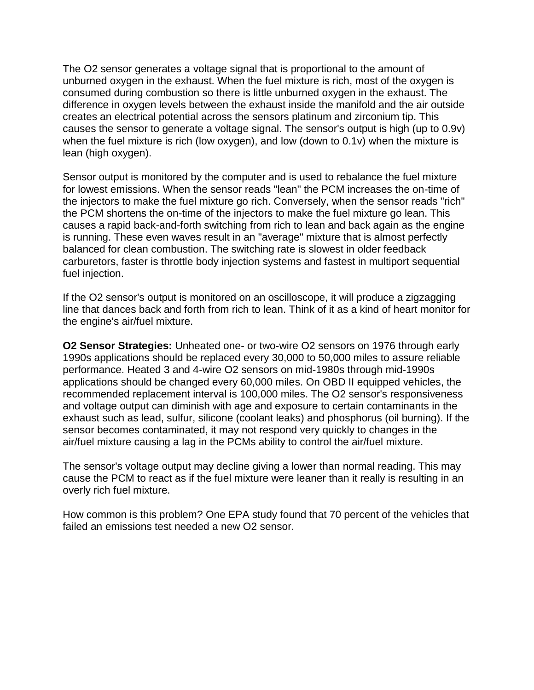The O2 sensor generates a voltage signal that is proportional to the amount of unburned oxygen in the exhaust. When the fuel mixture is rich, most of the oxygen is consumed during combustion so there is little unburned oxygen in the exhaust. The difference in oxygen levels between the exhaust inside the manifold and the air outside creates an electrical potential across the sensors platinum and zirconium tip. This causes the sensor to generate a voltage signal. The sensor's output is high (up to 0.9v) when the fuel mixture is rich (low oxygen), and low (down to 0.1v) when the mixture is lean (high oxygen).

Sensor output is monitored by the computer and is used to rebalance the fuel mixture for lowest emissions. When the sensor reads "lean" the PCM increases the on-time of the injectors to make the fuel mixture go rich. Conversely, when the sensor reads "rich" the PCM shortens the on-time of the injectors to make the fuel mixture go lean. This causes a rapid back-and-forth switching from rich to lean and back again as the engine is running. These even waves result in an "average" mixture that is almost perfectly balanced for clean combustion. The switching rate is slowest in older feedback carburetors, faster is throttle body injection systems and fastest in multiport sequential fuel injection.

If the O2 sensor's output is monitored on an oscilloscope, it will produce a zigzagging line that dances back and forth from rich to lean. Think of it as a kind of heart monitor for the engine's air/fuel mixture.

**O2 Sensor Strategies:** Unheated one- or two-wire O2 sensors on 1976 through early 1990s applications should be replaced every 30,000 to 50,000 miles to assure reliable performance. Heated 3 and 4-wire O2 sensors on mid-1980s through mid-1990s applications should be changed every 60,000 miles. On OBD II equipped vehicles, the recommended replacement interval is 100,000 miles. The O2 sensor's responsiveness and voltage output can diminish with age and exposure to certain contaminants in the exhaust such as lead, sulfur, silicone (coolant leaks) and phosphorus (oil burning). If the sensor becomes contaminated, it may not respond very quickly to changes in the air/fuel mixture causing a lag in the PCMs ability to control the air/fuel mixture.

The sensor's voltage output may decline giving a lower than normal reading. This may cause the PCM to react as if the fuel mixture were leaner than it really is resulting in an overly rich fuel mixture.

How common is this problem? One EPA study found that 70 percent of the vehicles that failed an emissions test needed a new O2 sensor.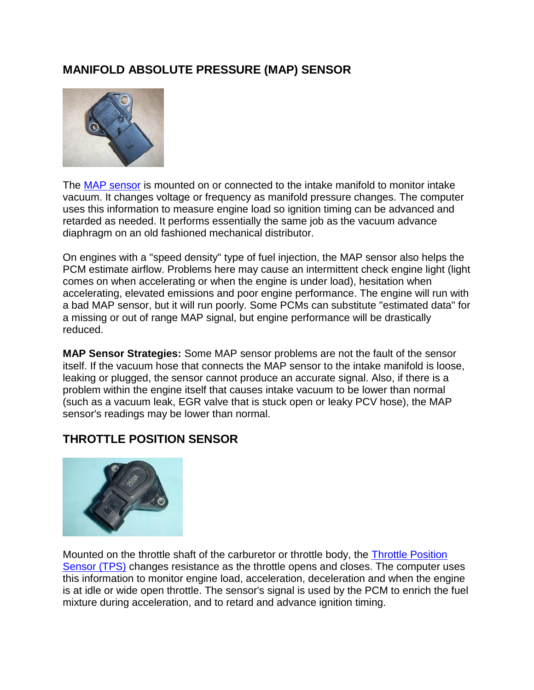### **MANIFOLD ABSOLUTE PRESSURE (MAP) SENSOR**



The [MAP sensor](http://www.aa1car.com/library/map_sensors.htm) is mounted on or connected to the intake manifold to monitor intake vacuum. It changes voltage or frequency as manifold pressure changes. The computer uses this information to measure engine load so ignition timing can be advanced and retarded as needed. It performs essentially the same job as the vacuum advance diaphragm on an old fashioned mechanical distributor.

On engines with a "speed density" type of fuel injection, the MAP sensor also helps the PCM estimate airflow. Problems here may cause an intermittent check engine light (light comes on when accelerating or when the engine is under load), hesitation when accelerating, elevated emissions and poor engine performance. The engine will run with a bad MAP sensor, but it will run poorly. Some PCMs can substitute "estimated data" for a missing or out of range MAP signal, but engine performance will be drastically reduced.

**MAP Sensor Strategies:** Some MAP sensor problems are not the fault of the sensor itself. If the vacuum hose that connects the MAP sensor to the intake manifold is loose, leaking or plugged, the sensor cannot produce an accurate signal. Also, if there is a problem within the engine itself that causes intake vacuum to be lower than normal (such as a vacuum leak, EGR valve that is stuck open or leaky PCV hose), the MAP sensor's readings may be lower than normal.

#### **THROTTLE POSITION SENSOR**



Mounted on the throttle shaft of the carburetor or throttle body, the [Throttle Position](http://www.aa1car.com/library/tps_sensors.htm)  [Sensor \(TPS\)](http://www.aa1car.com/library/tps_sensors.htm) changes resistance as the throttle opens and closes. The computer uses this information to monitor engine load, acceleration, deceleration and when the engine is at idle or wide open throttle. The sensor's signal is used by the PCM to enrich the fuel mixture during acceleration, and to retard and advance ignition timing.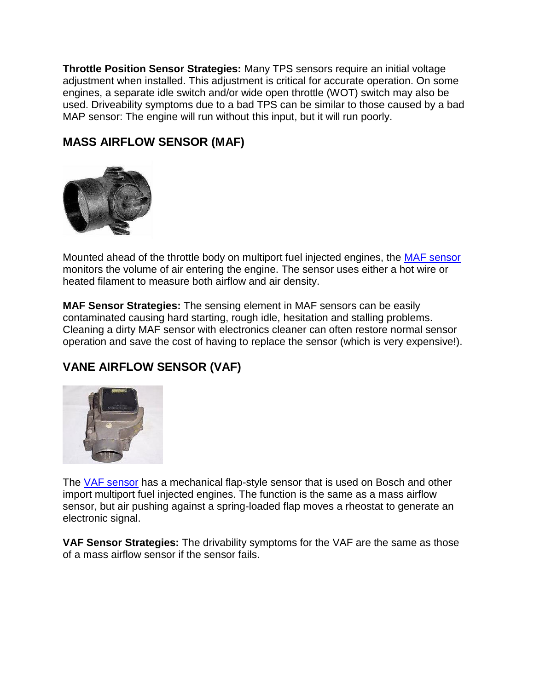**Throttle Position Sensor Strategies:** Many TPS sensors require an initial voltage adjustment when installed. This adjustment is critical for accurate operation. On some engines, a separate idle switch and/or wide open throttle (WOT) switch may also be used. Driveability symptoms due to a bad TPS can be similar to those caused by a bad MAP sensor: The engine will run without this input, but it will run poorly.

### **MASS AIRFLOW SENSOR (MAF)**



Mounted ahead of the throttle body on multiport fuel injected engines, the **MAF** sensor monitors the volume of air entering the engine. The sensor uses either a hot wire or heated filament to measure both airflow and air density.

**MAF Sensor Strategies:** The sensing element in MAF sensors can be easily contaminated causing hard starting, rough idle, hesitation and stalling problems. Cleaning a dirty MAF sensor with electronics cleaner can often restore normal sensor operation and save the cost of having to replace the sensor (which is very expensive!).

## **VANE AIRFLOW SENSOR (VAF)**



The [VAF sensor](http://www.aa1car.com/library/vaf_sensors.htm) has a mechanical flap-style sensor that is used on Bosch and other import multiport fuel injected engines. The function is the same as a mass airflow sensor, but air pushing against a spring-loaded flap moves a rheostat to generate an electronic signal.

**VAF Sensor Strategies:** The drivability symptoms for the VAF are the same as those of a mass airflow sensor if the sensor fails.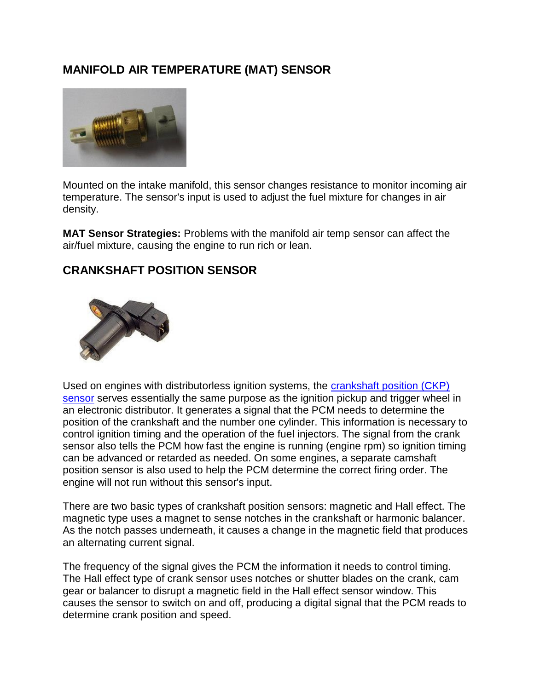#### **MANIFOLD AIR TEMPERATURE (MAT) SENSOR**



Mounted on the intake manifold, this sensor changes resistance to monitor incoming air temperature. The sensor's input is used to adjust the fuel mixture for changes in air density.

**MAT Sensor Strategies:** Problems with the manifold air temp sensor can affect the air/fuel mixture, causing the engine to run rich or lean.

#### **CRANKSHAFT POSITION SENSOR**



Used on engines with distributorless ignition systems, the [crankshaft position \(CKP\)](http://www.aa1car.com/library/crank_sensors.htm)  [sensor](http://www.aa1car.com/library/crank_sensors.htm) serves essentially the same purpose as the ignition pickup and trigger wheel in an electronic distributor. It generates a signal that the PCM needs to determine the position of the crankshaft and the number one cylinder. This information is necessary to control ignition timing and the operation of the fuel injectors. The signal from the crank sensor also tells the PCM how fast the engine is running (engine rpm) so ignition timing can be advanced or retarded as needed. On some engines, a separate camshaft position sensor is also used to help the PCM determine the correct firing order. The engine will not run without this sensor's input.

There are two basic types of crankshaft position sensors: magnetic and Hall effect. The magnetic type uses a magnet to sense notches in the crankshaft or harmonic balancer. As the notch passes underneath, it causes a change in the magnetic field that produces an alternating current signal.

The frequency of the signal gives the PCM the information it needs to control timing. The Hall effect type of crank sensor uses notches or shutter blades on the crank, cam gear or balancer to disrupt a magnetic field in the Hall effect sensor window. This causes the sensor to switch on and off, producing a digital signal that the PCM reads to determine crank position and speed.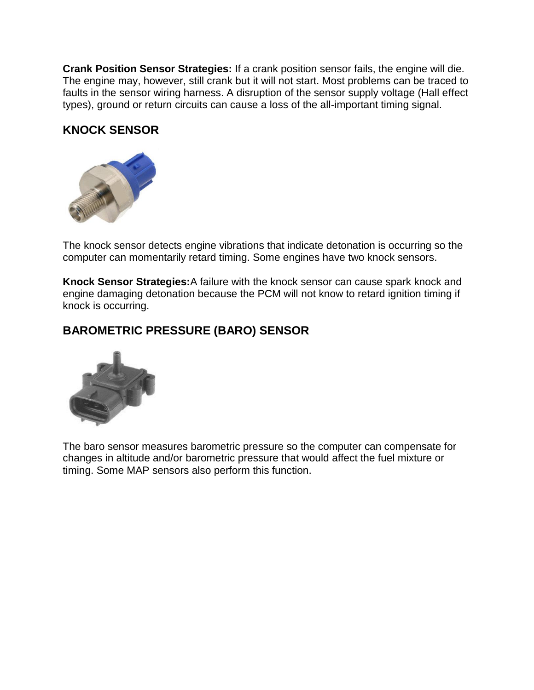**Crank Position Sensor Strategies:** If a crank position sensor fails, the engine will die. The engine may, however, still crank but it will not start. Most problems can be traced to faults in the sensor wiring harness. A disruption of the sensor supply voltage (Hall effect types), ground or return circuits can cause a loss of the all-important timing signal.

#### **KNOCK SENSOR**



The knock sensor detects engine vibrations that indicate detonation is occurring so the computer can momentarily retard timing. Some engines have two knock sensors.

**Knock Sensor Strategies:**A failure with the knock sensor can cause spark knock and engine damaging detonation because the PCM will not know to retard ignition timing if knock is occurring.

#### **BAROMETRIC PRESSURE (BARO) SENSOR**



The baro sensor measures barometric pressure so the computer can compensate for changes in altitude and/or barometric pressure that would affect the fuel mixture or timing. Some MAP sensors also perform this function.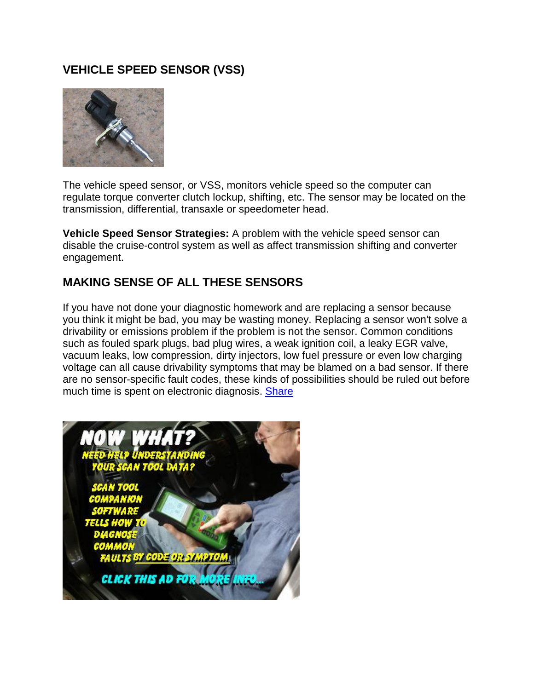### **VEHICLE SPEED SENSOR (VSS)**



The vehicle speed sensor, or VSS, monitors vehicle speed so the computer can regulate torque converter clutch lockup, shifting, etc. The sensor may be located on the transmission, differential, transaxle or speedometer head.

**Vehicle Speed Sensor Strategies:** A problem with the vehicle speed sensor can disable the cruise-control system as well as affect transmission shifting and converter engagement.

#### **MAKING SENSE OF ALL THESE SENSORS**

If you have not done your diagnostic homework and are replacing a sensor because you think it might be bad, you may be wasting money. Replacing a sensor won't solve a drivability or emissions problem if the problem is not the sensor. Common conditions such as fouled spark plugs, bad plug wires, a weak ignition coil, a leaky EGR valve, vacuum leaks, low compression, dirty injectors, low fuel pressure or even low charging voltage can all cause drivability symptoms that may be blamed on a bad sensor. If there are no sensor-specific fault codes, these kinds of possibilities should be ruled out before much time is spent on electronic diagnosis. [Share](http://www.facebook.com/sharer.php)